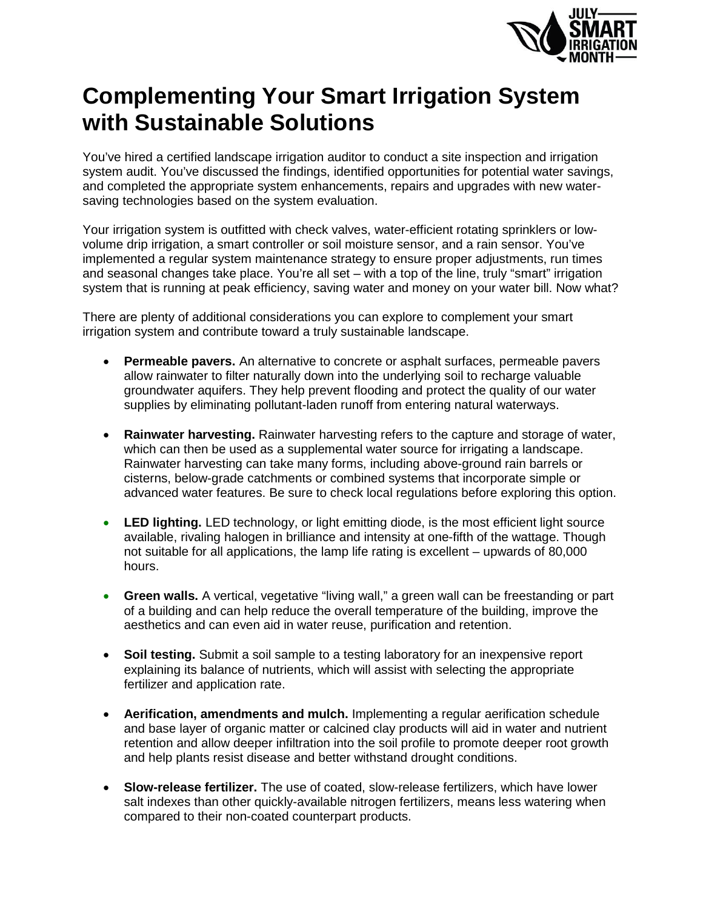

## **Complementing Your Smart Irrigation System with Sustainable Solutions**

You've hired a certified landscape irrigation auditor to conduct a site inspection and irrigation system audit. You've discussed the findings, identified opportunities for potential water savings, and completed the appropriate system enhancements, repairs and upgrades with new watersaving technologies based on the system evaluation.

Your irrigation system is outfitted with check valves, water-efficient rotating sprinklers or lowvolume drip irrigation, a smart controller or soil moisture sensor, and a rain sensor. You've implemented a regular system maintenance strategy to ensure proper adjustments, run times and seasonal changes take place. You're all set – with a top of the line, truly "smart" irrigation system that is running at peak efficiency, saving water and money on your water bill. Now what?

There are plenty of additional considerations you can explore to complement your smart irrigation system and contribute toward a truly sustainable landscape.

- **Permeable pavers.** An alternative to concrete or asphalt surfaces, permeable pavers allow rainwater to filter naturally down into the underlying soil to recharge valuable groundwater aquifers. They help prevent flooding and protect the quality of our water supplies by eliminating pollutant-laden runoff from entering natural waterways.
- **Rainwater harvesting.** Rainwater harvesting refers to the capture and storage of water, which can then be used as a supplemental water source for irrigating a landscape. Rainwater harvesting can take many forms, including above-ground rain barrels or cisterns, below-grade catchments or combined systems that incorporate simple or advanced water features. Be sure to check local regulations before exploring this option.
- **LED lighting.** LED technology, or light emitting diode, is the most efficient light source available, rivaling halogen in brilliance and intensity at one-fifth of the wattage. Though not suitable for all applications, the lamp life rating is excellent – upwards of 80,000 hours.
- **Green walls.** A vertical, vegetative "living wall," a green wall can be freestanding or part of a building and can help reduce the overall temperature of the building, improve the aesthetics and can even aid in water reuse, purification and retention.
- **Soil testing.** Submit a soil sample to a testing laboratory for an inexpensive report explaining its balance of nutrients, which will assist with selecting the appropriate fertilizer and application rate.
- **Aerification, amendments and mulch.** Implementing a regular aerification schedule and base layer of organic matter or calcined clay products will aid in water and nutrient retention and allow deeper infiltration into the soil profile to promote deeper root growth and help plants resist disease and better withstand drought conditions.
- **Slow-release fertilizer.** The use of coated, slow-release fertilizers, which have lower salt indexes than other quickly-available nitrogen fertilizers, means less watering when compared to their non-coated counterpart products.